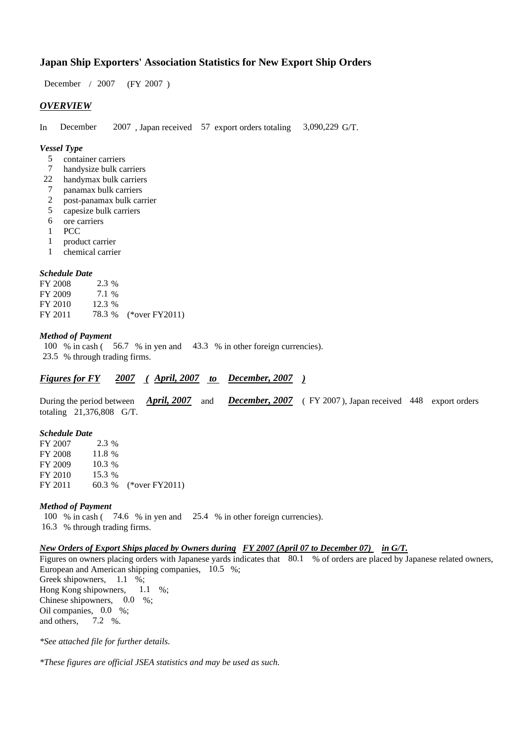## **Japan Ship Exporters' Association Statistics for New Export Ship Orders**

 $/ 2007$  (FY 2007) December / 2007

### *OVERVIEW*

In December  $2007$ , Japan received 57 export orders totaling 3,090,229 G/T. December 3,090,229 G/T.

#### *Vessel Type*

- container carriers 5
- handysize bulk carriers 7
- handymax bulk carriers 22
- panamax bulk carriers 7
- post-panamax bulk carrier 2
- capesize bulk carriers 5
- ore carriers 6
- PCC 1
- product carrier 1
- chemical carrier 1

#### *Schedule Date*

**FY 2008** FY 2009 FY 2010 FY 2011 78.3 % (\*over FY2011) 7.1 % 78.3 2.3 % 12.3 %

#### *Method of Payment*

100 % in cash (56.7 % in yen and 43.3 % in other foreign currencies). % through trading firms. 23.5

*Figures for FY* 2007 (April, 2007 to December, 2007)

During the period between *April, 2007* and *December, 2007* (FY 2007), Japan received 448 export orders totaling  $21,376,808$  G/T.

#### *Schedule Date*

FY 2007 **FY 2008** FY 2009 FY 2010 FY 2011 60.3 % (\*over FY 2011) 15.3 % 60.3 % 11.8 % 10.3 % 2.3 %

#### *Method of Payment*

100 % in cash (74.6 % in yen and 25.4 % in other foreign currencies). % through trading firms. 16.3

#### *New Orders of Export Ships placed by Owners during FY 2007 (April 07 to December 07) in G/T.*

Figures on owners placing orders with Japanese yards indicates that 80.1 % of orders are placed by Japanese related owners, European and American shipping companies, 10.5 %; Greek shipowners, 1.1 %; Hong Kong shipowners, Chinese shipowners,  $0.0\%$ ; Oil companies, 0.0 %; and others, 7.2 %.  $1.1\quad\%$ ;

*\*See attached file for further details.*

*\*These figures are official JSEA statistics and may be used as such.*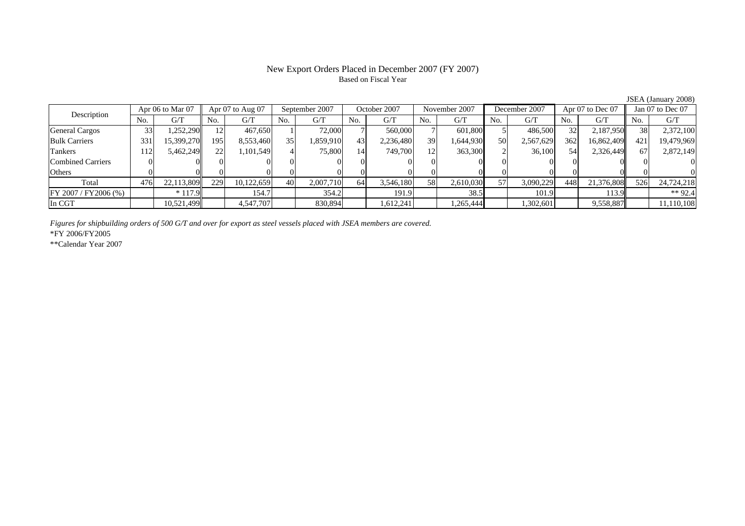# Based on Fiscal Year

No. G/T No. G/T No. G/T No. G/T No. G/T No. G/T No. G/T No. G/TGeneral Cargos 33 1,252,290 12 467,650 1 72,000 7 560,000 7 601,800 5 486,500 32 2,187,950 38 2,372,100 Bulk Carriers 331 15,399,270 195 8,553,460 35 1,859,910 43 2,236,480 39 1,644,930 50 2,567,629 362 16,862,409 421 19,479,969 Tankers | 112| 5,462,249|| 22| 1,101,549| 4| 75,800| 14| 749,700| 12| 363,300| 2| 36,100| 54| 2,326,449|| 67| 2,872,149 Combined Carriers 0 0 0 0 0 0 0 0 0 0 0 0 0 0 0 0Others 0 0 0 0 0 0 0 0 0 0 0 0 0 0 0 0 $\mathbf{0}$ Total 476 22,113,809 229 10,122,659 40 2,007,710 64 3,546,180 58 2,610,030 57 3,090,229 448 21,376,808 526 24,724,218 FY 2007 / FY 2006 (%) \*117.9 154.7 154.7 354.2 191.9 364.2 38.5 101.9 101.9 113.9 \*\* 92.4 In CGT | | 10,521,499| | 4,547,707| | 830,894| | 1,612,241| | 1,265,444| | 1,302,601| | 9,558,887|| | 11,110,108 Apr 07 to Aug 07 September 2007 October 2007 Description Apr 06 to Mar 07 November 2007 December 2007 Apr 07 to Dec 07 Jan 07 to Dec 07

*Figures for shipbuilding orders of 500 G/T and over for export as steel vessels placed with JSEA members are covered.*

\*FY 2006/FY2005

\*\*Calendar Year 2007

JSEA (January 2008)

# New Export Orders Placed in December 2007 (FY 2007)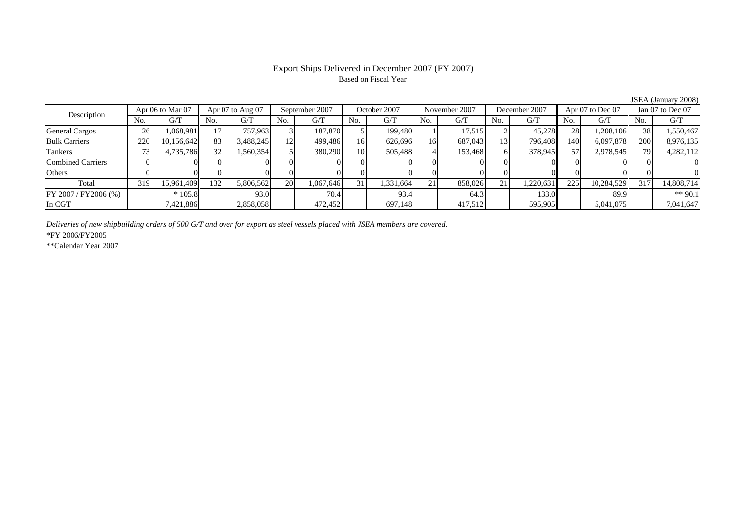### Export Ships Delivered in December 2007 (FY 2007) Based on Fiscal Year

|                       |                  |            |                      |           |                |           |              |           |               |         |               |           |                  |            |                  | $\cdots$   |
|-----------------------|------------------|------------|----------------------|-----------|----------------|-----------|--------------|-----------|---------------|---------|---------------|-----------|------------------|------------|------------------|------------|
| Description           | Apr 06 to Mar 07 |            | Apr $07$ to Aug $07$ |           | September 2007 |           | October 2007 |           | November 2007 |         | December 2007 |           | Apr 07 to Dec 07 |            | Jan 07 to Dec 07 |            |
|                       | No.              | G/T        | No.                  | G/T       | No.            | G/T       | No.          | G/T       | No.           | G/T     | No.           | G/T       | No.              | G/T        | No.              | G/T        |
| <b>General Cargos</b> | 26               | 1,068,981  |                      | 757,963   |                | 187,870   |              | 199,480   |               | 17,515  |               | 45,278    | 28               | 1,208,106  | 38               | 1,550,467  |
| <b>Bulk Carriers</b>  | 220              | 10,156,642 | 83                   | 3,488,245 | 12.            | 499,486   | 16           | 626,696   | 16            | 687,043 | 13            | 796,408   | 140              | 6,097,878  | <b>200</b>       | 8,976,135  |
| Tankers               |                  | 4,735,786  | 32                   | 1,560,354 |                | 380,290   | 10           | 505,488   |               | 153,468 | <sub>0</sub>  | 378,945   | 57               | 2,978,545  | 791              | 4,282,112  |
| Combined Carriers     |                  |            | $\Omega$             |           |                |           |              |           |               |         |               |           |                  |            |                  |            |
| Others                |                  |            |                      |           |                |           |              |           |               |         |               |           |                  |            |                  |            |
| Total                 | 319              | 15,961,409 | 132                  | 5,806,562 | 20             | 1,067,646 | 31           | 1,331,664 | 21            | 858,026 | 21            | 1,220,631 | 225              | 10,284,529 | 317              | 14,808,714 |
| FY 2007 / FY 2006 (%) |                  | $*105.8$   |                      | 93.0      |                | 70.4      |              | 93.4      |               | 64.3    |               | 133.0     |                  | 89.9       |                  | ** 90.1    |
| In CGT                |                  | 7,421,886  |                      | 2,858,058 |                | 472,452   |              | 697,148   |               | 417,512 |               | 595,905   |                  | 5,041,075  |                  | 7,041,647  |

*Deliveries of new shipbuilding orders of 500 G/T and over for export as steel vessels placed with JSEA members are covered.*

\*FY 2006/FY2005

\*\*Calendar Year 2007

JSEA (January 2008)